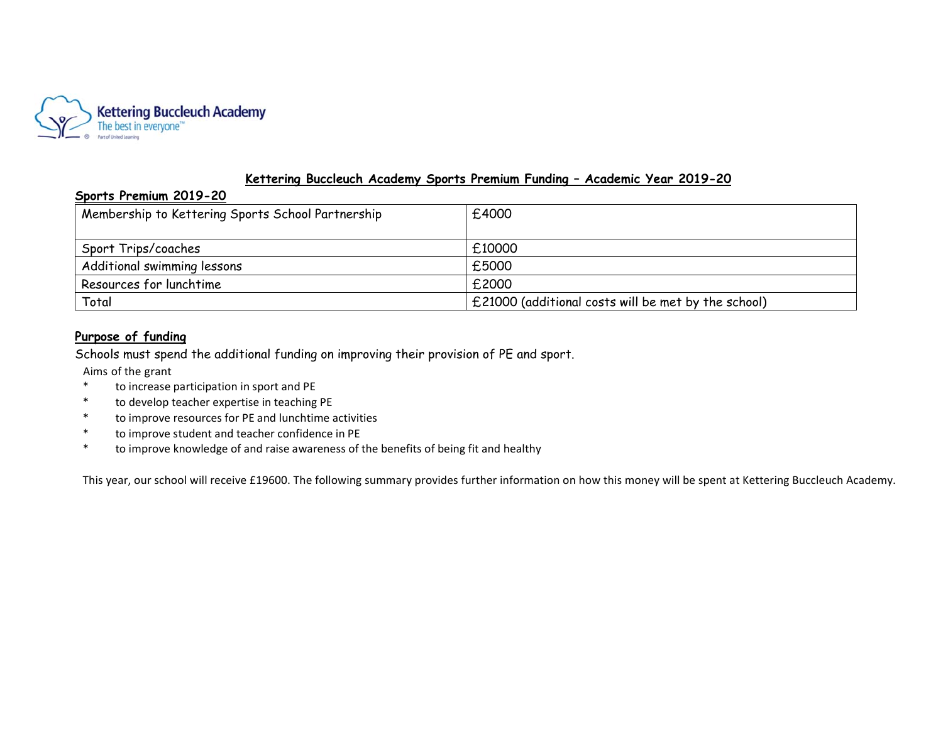

### **Kettering Buccleuch Academy Sports Premium Funding – Academic Year 2019-20**

#### **Sports Premium 2019-20**

| Membership to Kettering Sports School Partnership | £4000                                               |
|---------------------------------------------------|-----------------------------------------------------|
| Sport Trips/coaches                               | £10000                                              |
| Additional swimming lessons                       | £5000                                               |
| Resources for lunchtime                           | £2000                                               |
| Total                                             | £21000 (additional costs will be met by the school) |

## **Purpose of funding**

Schools must spend the additional funding on improving their provision of PE and sport.

Aims of the grant

- \* to increase participation in sport and PE
- \* to develop teacher expertise in teaching PE
- \* to improve resources for PE and lunchtime activities
- \* to improve student and teacher confidence in PE
- \* to improve knowledge of and raise awareness of the benefits of being fit and healthy

This year, our school will receive £19600. The following summary provides further information on how this money will be spent at Kettering Buccleuch Academy.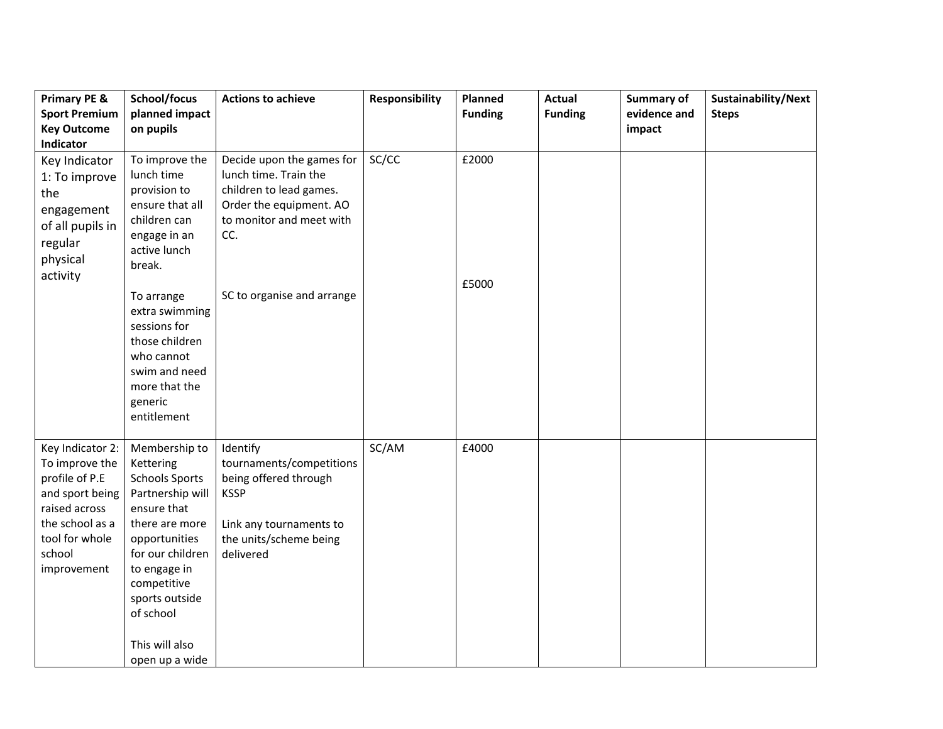| <b>Primary PE &amp;</b><br><b>Sport Premium</b>                                                                                                        | School/focus<br>planned impact                                                                                                                                                                                                                  | <b>Actions to achieve</b>                                                                                                                      | <b>Responsibility</b> | Planned<br><b>Funding</b> | <b>Actual</b><br><b>Funding</b> | Summary of<br>evidence and | Sustainability/Next<br><b>Steps</b> |
|--------------------------------------------------------------------------------------------------------------------------------------------------------|-------------------------------------------------------------------------------------------------------------------------------------------------------------------------------------------------------------------------------------------------|------------------------------------------------------------------------------------------------------------------------------------------------|-----------------------|---------------------------|---------------------------------|----------------------------|-------------------------------------|
| <b>Key Outcome</b><br>Indicator                                                                                                                        | on pupils                                                                                                                                                                                                                                       |                                                                                                                                                |                       |                           |                                 | impact                     |                                     |
| Key Indicator<br>1: To improve<br>the<br>engagement<br>of all pupils in<br>regular<br>physical<br>activity                                             | To improve the<br>lunch time<br>provision to<br>ensure that all<br>children can<br>engage in an<br>active lunch<br>break.                                                                                                                       | Decide upon the games for<br>lunch time. Train the<br>children to lead games.<br>Order the equipment. AO<br>to monitor and meet with<br>CC.    | SC/CC                 | £2000                     |                                 |                            |                                     |
|                                                                                                                                                        | To arrange<br>extra swimming<br>sessions for<br>those children<br>who cannot<br>swim and need<br>more that the<br>generic<br>entitlement                                                                                                        | SC to organise and arrange                                                                                                                     |                       | £5000                     |                                 |                            |                                     |
| Key Indicator 2:<br>To improve the<br>profile of P.E<br>and sport being<br>raised across<br>the school as a<br>tool for whole<br>school<br>improvement | Membership to<br>Kettering<br><b>Schools Sports</b><br>Partnership will<br>ensure that<br>there are more<br>opportunities<br>for our children<br>to engage in<br>competitive<br>sports outside<br>of school<br>This will also<br>open up a wide | Identify<br>tournaments/competitions<br>being offered through<br><b>KSSP</b><br>Link any tournaments to<br>the units/scheme being<br>delivered | SC/AM                 | £4000                     |                                 |                            |                                     |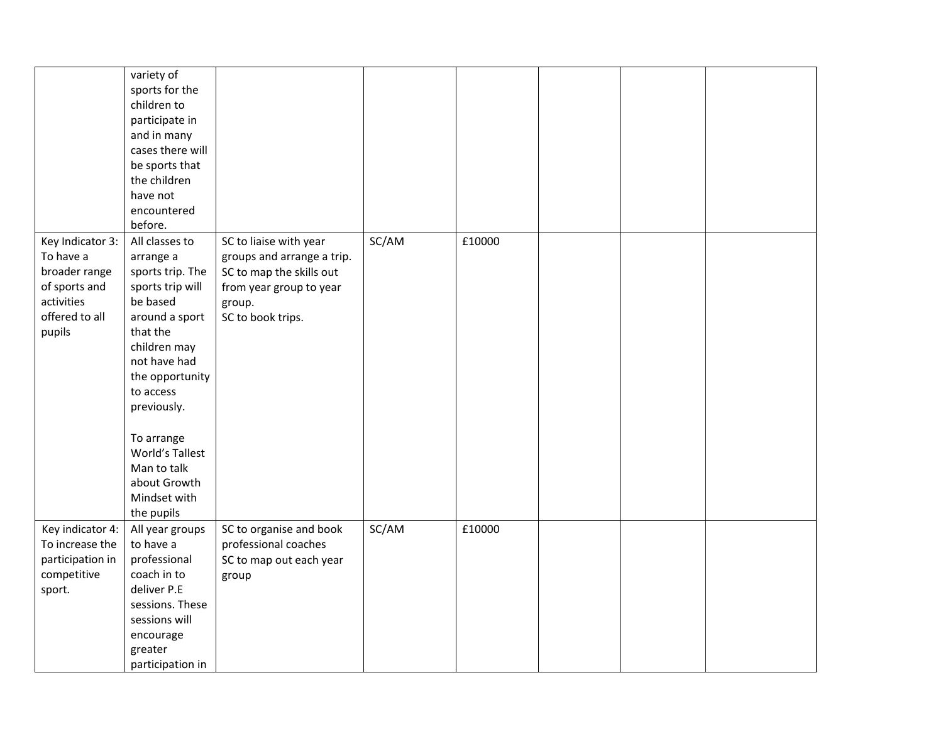|                                                                                                           | variety of<br>sports for the<br>children to<br>participate in<br>and in many<br>cases there will<br>be sports that<br>the children<br>have not<br>encountered<br>before.                                                                                                                   |                                                                                                                                            |       |        |  |  |
|-----------------------------------------------------------------------------------------------------------|--------------------------------------------------------------------------------------------------------------------------------------------------------------------------------------------------------------------------------------------------------------------------------------------|--------------------------------------------------------------------------------------------------------------------------------------------|-------|--------|--|--|
| Key Indicator 3:<br>To have a<br>broader range<br>of sports and<br>activities<br>offered to all<br>pupils | All classes to<br>arrange a<br>sports trip. The<br>sports trip will<br>be based<br>around a sport<br>that the<br>children may<br>not have had<br>the opportunity<br>to access<br>previously.<br>To arrange<br>World's Tallest<br>Man to talk<br>about Growth<br>Mindset with<br>the pupils | SC to liaise with year<br>groups and arrange a trip.<br>SC to map the skills out<br>from year group to year<br>group.<br>SC to book trips. | SC/AM | £10000 |  |  |
| Key indicator 4:<br>To increase the<br>participation in<br>competitive<br>sport.                          | All year groups<br>to have a<br>professional<br>coach in to<br>deliver P.E<br>sessions. These<br>sessions will<br>encourage<br>greater<br>participation in                                                                                                                                 | SC to organise and book<br>professional coaches<br>SC to map out each year<br>group                                                        | SC/AM | £10000 |  |  |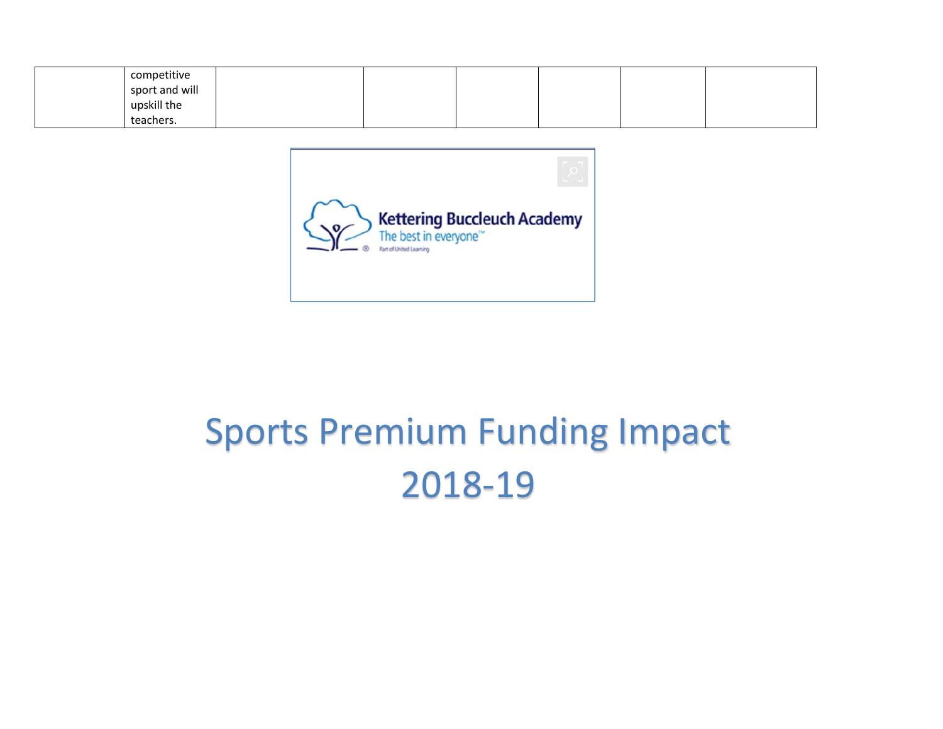| competitive    |  |  |  |
|----------------|--|--|--|
| sport and will |  |  |  |
| upskill the    |  |  |  |
| teachers.      |  |  |  |



# Sports Premium Funding Impact 2018‐19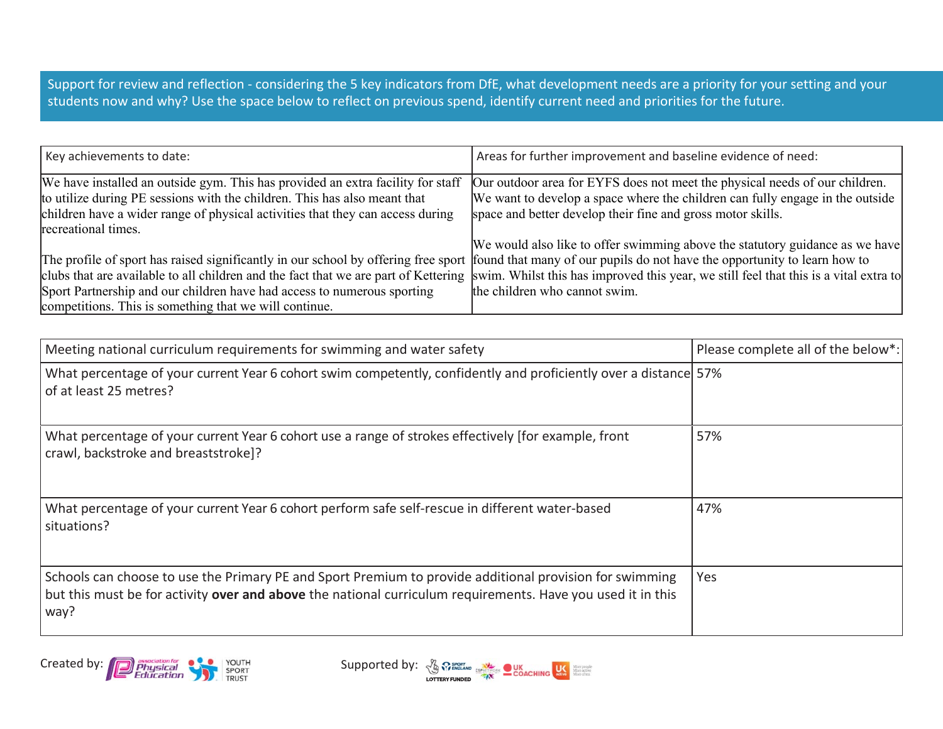Support for review and reflection ‐ considering the 5 key indicators from DfE, what development needs are a priority for your setting and your students now and why? Use the space below to reflect on previous spend, identify current need and priorities for the future.

| Key achievements to date:                                                                                                                                                                                                                                                                         | Areas for further improvement and baseline evidence of need:                                                                                                                                                                                                                               |
|---------------------------------------------------------------------------------------------------------------------------------------------------------------------------------------------------------------------------------------------------------------------------------------------------|--------------------------------------------------------------------------------------------------------------------------------------------------------------------------------------------------------------------------------------------------------------------------------------------|
| We have installed an outside gym. This has provided an extra facility for staff<br>to utilize during PE sessions with the children. This has also meant that<br>children have a wider range of physical activities that they can access during<br>recreational times.                             | Our outdoor area for EYFS does not meet the physical needs of our children.<br>We want to develop a space where the children can fully engage in the outside<br>space and better develop their fine and gross motor skills.                                                                |
| The profile of sport has raised significantly in our school by offering free sport found that many of our pupils do not have the opportunity to learn how to<br>Sport Partnership and our children have had access to numerous sporting<br>competitions. This is something that we will continue. | We would also like to offer swimming above the statutory guidance as we have<br>clubs that are available to all children and the fact that we are part of Kettering swim. Whilst this has improved this year, we still feel that this is a vital extra to<br>the children who cannot swim. |

| Meeting national curriculum requirements for swimming and water safety                                                                                                                                                         | Please complete all of the below*: |
|--------------------------------------------------------------------------------------------------------------------------------------------------------------------------------------------------------------------------------|------------------------------------|
| What percentage of your current Year 6 cohort swim competently, confidently and proficiently over a distance 57%<br>of at least 25 metres?                                                                                     |                                    |
| What percentage of your current Year 6 cohort use a range of strokes effectively [for example, front<br>crawl, backstroke and breaststroke]?                                                                                   | 57%                                |
| What percentage of your current Year 6 cohort perform safe self-rescue in different water-based<br>situations?                                                                                                                 | 47%                                |
| Schools can choose to use the Primary PE and Sport Premium to provide additional provision for swimming<br>but this must be for activity over and above the national curriculum requirements. Have you used it in this<br>way? | Yes                                |



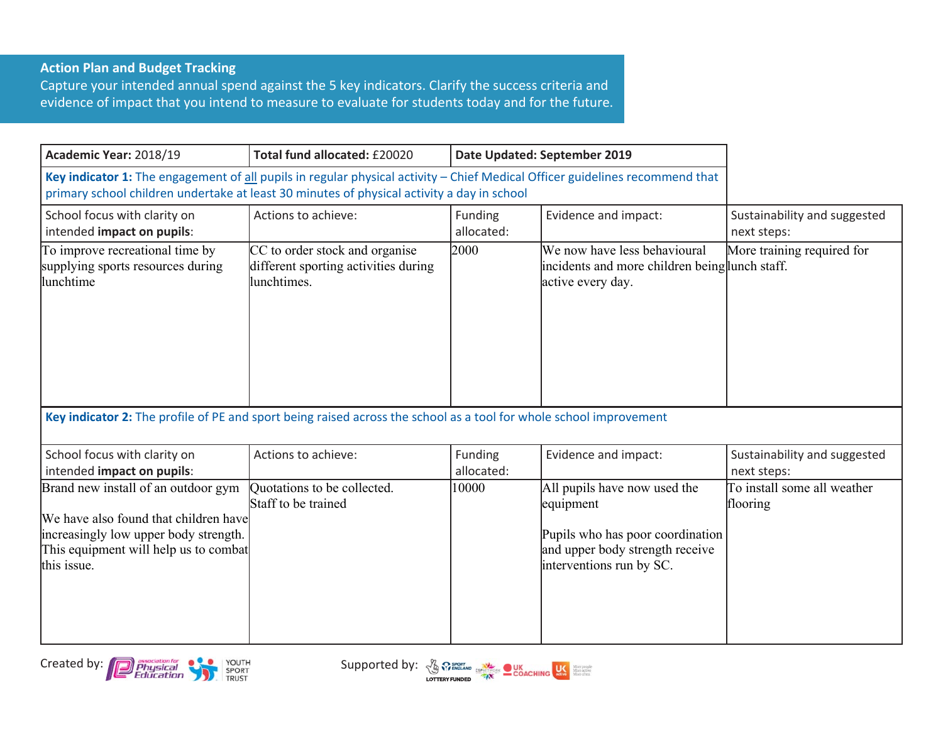## **Action Plan and Budget Tracking**

Capture your intended annual spend against the 5 key indicators. Clarify the success criteria and evidence of impact that you intend to measure to evaluate for students today and for the future.

| Academic Year: 2018/19                                                                                                                                                                                                     | Total fund allocated: £20020                                                          | Date Updated: September 2019 |                                                                                                                                              |                                             |
|----------------------------------------------------------------------------------------------------------------------------------------------------------------------------------------------------------------------------|---------------------------------------------------------------------------------------|------------------------------|----------------------------------------------------------------------------------------------------------------------------------------------|---------------------------------------------|
| Key indicator 1: The engagement of all pupils in regular physical activity - Chief Medical Officer guidelines recommend that<br>primary school children undertake at least 30 minutes of physical activity a day in school |                                                                                       |                              |                                                                                                                                              |                                             |
| School focus with clarity on<br>intended impact on pupils:                                                                                                                                                                 | Actions to achieve:                                                                   | Funding<br>allocated:        | Evidence and impact:                                                                                                                         | Sustainability and suggested<br>next steps: |
| To improve recreational time by<br>supplying sports resources during<br>lunchtime                                                                                                                                          | CC to order stock and organise<br>different sporting activities during<br>lunchtimes. | 2000                         | We now have less behavioural<br>incidents and more children being lunch staff.<br>active every day.                                          | More training required for                  |
| Key indicator 2: The profile of PE and sport being raised across the school as a tool for whole school improvement                                                                                                         |                                                                                       |                              |                                                                                                                                              |                                             |
| School focus with clarity on<br>intended impact on pupils:                                                                                                                                                                 | Actions to achieve:                                                                   | Funding<br>allocated:        | Evidence and impact:                                                                                                                         | Sustainability and suggested<br>next steps: |
| Brand new install of an outdoor gym<br>We have also found that children have<br>increasingly low upper body strength.<br>This equipment will help us to combat<br>this issue.                                              | Quotations to be collected.<br>Staff to be trained                                    | 10000                        | All pupils have now used the<br>equipment<br>Pupils who has poor coordination<br>and upper body strength receive<br>interventions run by SC. | To install some all weather<br>flooring     |



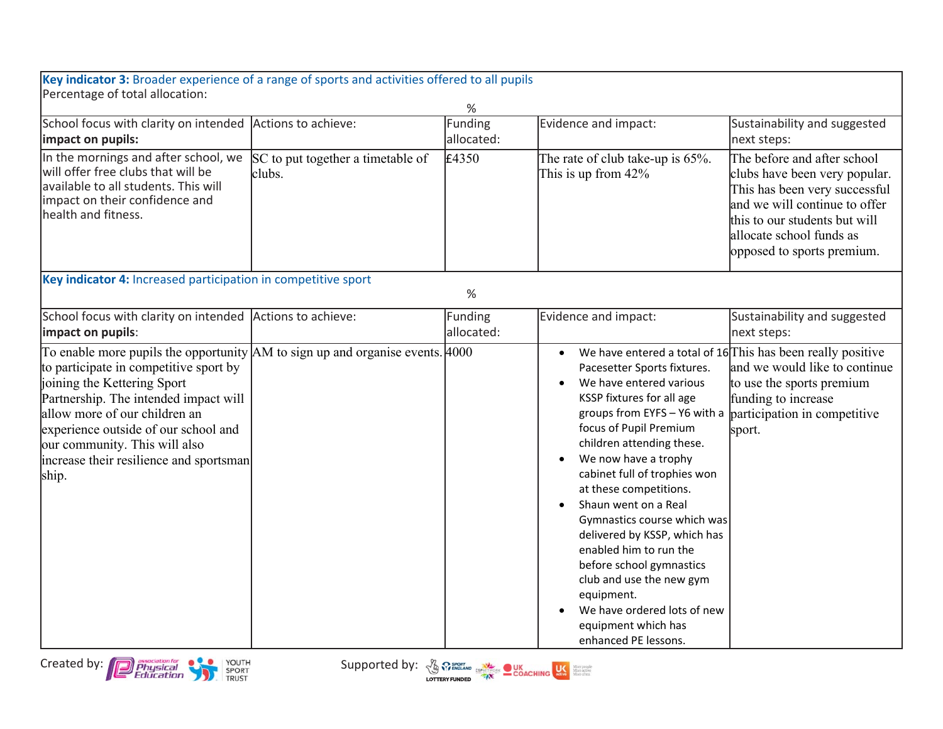| Key indicator 3: Broader experience of a range of sports and activities offered to all pupils                                                                                                                                                                                                                                                                     |                                             |                       |                                                                                                                                                                                                                                                                                                                                                                                                                                                                                                                                   |                                                                                                                                                                                                                           |
|-------------------------------------------------------------------------------------------------------------------------------------------------------------------------------------------------------------------------------------------------------------------------------------------------------------------------------------------------------------------|---------------------------------------------|-----------------------|-----------------------------------------------------------------------------------------------------------------------------------------------------------------------------------------------------------------------------------------------------------------------------------------------------------------------------------------------------------------------------------------------------------------------------------------------------------------------------------------------------------------------------------|---------------------------------------------------------------------------------------------------------------------------------------------------------------------------------------------------------------------------|
| Percentage of total allocation:                                                                                                                                                                                                                                                                                                                                   |                                             | $\%$                  |                                                                                                                                                                                                                                                                                                                                                                                                                                                                                                                                   |                                                                                                                                                                                                                           |
| School focus with clarity on intended<br>impact on pupils:                                                                                                                                                                                                                                                                                                        | Actions to achieve:                         | Funding<br>allocated: | Evidence and impact:                                                                                                                                                                                                                                                                                                                                                                                                                                                                                                              | Sustainability and suggested<br>next steps:                                                                                                                                                                               |
| In the mornings and after school, we<br>will offer free clubs that will be<br>available to all students. This will<br>impact on their confidence and<br>health and fitness.                                                                                                                                                                                       | SC to put together a timetable of<br>clubs. | £4350                 | The rate of club take-up is 65%.<br>This is up from 42%                                                                                                                                                                                                                                                                                                                                                                                                                                                                           | The before and after school<br>clubs have been very popular.<br>This has been very successful<br>and we will continue to offer<br>this to our students but will<br>allocate school funds as<br>opposed to sports premium. |
| Key indicator 4: Increased participation in competitive sport                                                                                                                                                                                                                                                                                                     |                                             | %                     |                                                                                                                                                                                                                                                                                                                                                                                                                                                                                                                                   |                                                                                                                                                                                                                           |
| School focus with clarity on intended Actions to achieve:<br>impact on pupils:                                                                                                                                                                                                                                                                                    |                                             | Funding<br>allocated: | Evidence and impact:                                                                                                                                                                                                                                                                                                                                                                                                                                                                                                              | Sustainability and suggested<br>next steps:                                                                                                                                                                               |
| To enable more pupils the opportunity $AM$ to sign up and organise events. $4000$<br>to participate in competitive sport by<br>joining the Kettering Sport<br>Partnership. The intended impact will<br>allow more of our children an<br>experience outside of our school and<br>our community. This will also<br>increase their resilience and sportsman<br>ship. |                                             |                       | Pacesetter Sports fixtures.<br>We have entered various<br>KSSP fixtures for all age<br>groups from EYFS - Y6 with a<br>focus of Pupil Premium<br>children attending these.<br>We now have a trophy<br>cabinet full of trophies won<br>at these competitions.<br>Shaun went on a Real<br>Gymnastics course which was<br>delivered by KSSP, which has<br>enabled him to run the<br>before school gymnastics<br>club and use the new gym<br>equipment.<br>We have ordered lots of new<br>equipment which has<br>enhanced PE lessons. | We have entered a total of 16 This has been really positive<br>and we would like to continue<br>to use the sports premium<br>funding to increase<br>participation in competitive<br>sport.                                |